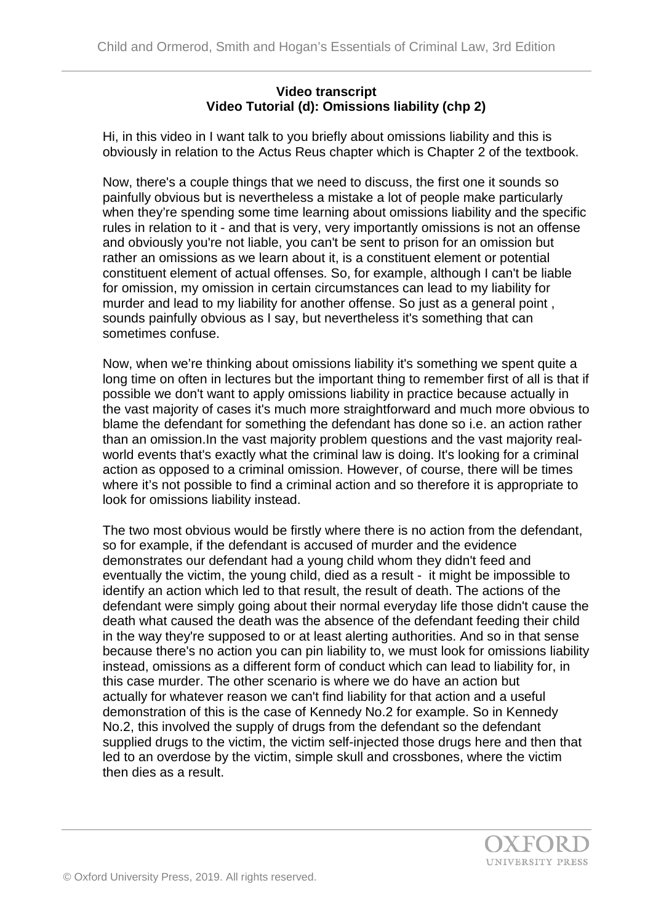## **Video transcript Video Tutorial (d): Omissions liability (chp 2)**

Hi, in this video in I want talk to you briefly about omissions liability and this is obviously in relation to the Actus Reus chapter which is Chapter 2 of the textbook.

Now, there's a couple things that we need to discuss, the first one it sounds so painfully obvious but is nevertheless a mistake a lot of people make particularly when they're spending some time learning about omissions liability and the specific rules in relation to it - and that is very, very importantly omissions is not an offense and obviously you're not liable, you can't be sent to prison for an omission but rather an omissions as we learn about it, is a constituent element or potential constituent element of actual offenses. So, for example, although I can't be liable for omission, my omission in certain circumstances can lead to my liability for murder and lead to my liability for another offense. So just as a general point , sounds painfully obvious as I say, but nevertheless it's something that can sometimes confuse.

Now, when we're thinking about omissions liability it's something we spent quite a long time on often in lectures but the important thing to remember first of all is that if possible we don't want to apply omissions liability in practice because actually in the vast majority of cases it's much more straightforward and much more obvious to blame the defendant for something the defendant has done so i.e. an action rather than an omission.In the vast majority problem questions and the vast majority realworld events that's exactly what the criminal law is doing. It's looking for a criminal action as opposed to a criminal omission. However, of course, there will be times where it's not possible to find a criminal action and so therefore it is appropriate to look for omissions liability instead.

The two most obvious would be firstly where there is no action from the defendant, so for example, if the defendant is accused of murder and the evidence demonstrates our defendant had a young child whom they didn't feed and eventually the victim, the young child, died as a result - it might be impossible to identify an action which led to that result, the result of death. The actions of the defendant were simply going about their normal everyday life those didn't cause the death what caused the death was the absence of the defendant feeding their child in the way they're supposed to or at least alerting authorities. And so in that sense because there's no action you can pin liability to, we must look for omissions liability instead, omissions as a different form of conduct which can lead to liability for, in this case murder. The other scenario is where we do have an action but actually for whatever reason we can't find liability for that action and a useful demonstration of this is the case of Kennedy No.2 for example. So in Kennedy No.2, this involved the supply of drugs from the defendant so the defendant supplied drugs to the victim, the victim self-injected those drugs here and then that led to an overdose by the victim, simple skull and crossbones, where the victim then dies as a result.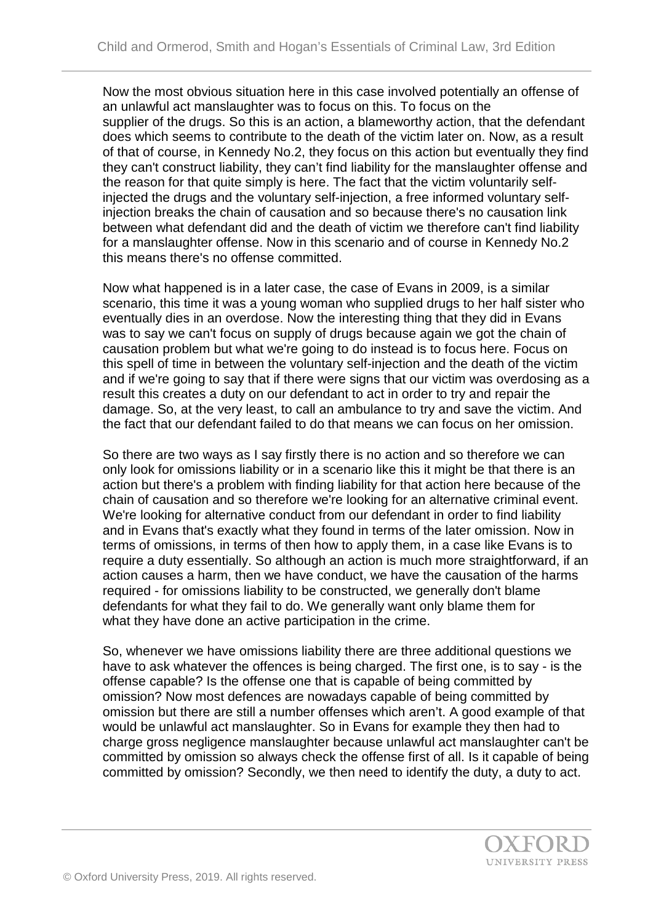Now the most obvious situation here in this case involved potentially an offense of an unlawful act manslaughter was to focus on this. To focus on the supplier of the drugs. So this is an action, a blameworthy action, that the defendant does which seems to contribute to the death of the victim later on. Now, as a result of that of course, in Kennedy No.2, they focus on this action but eventually they find they can't construct liability, they can't find liability for the manslaughter offense and the reason for that quite simply is here. The fact that the victim voluntarily selfinjected the drugs and the voluntary self-injection, a free informed voluntary selfinjection breaks the chain of causation and so because there's no causation link between what defendant did and the death of victim we therefore can't find liability for a manslaughter offense. Now in this scenario and of course in Kennedy No.2 this means there's no offense committed.

Now what happened is in a later case, the case of Evans in 2009, is a similar scenario, this time it was a young woman who supplied drugs to her half sister who eventually dies in an overdose. Now the interesting thing that they did in Evans was to say we can't focus on supply of drugs because again we got the chain of causation problem but what we're going to do instead is to focus here. Focus on this spell of time in between the voluntary self-injection and the death of the victim and if we're going to say that if there were signs that our victim was overdosing as a result this creates a duty on our defendant to act in order to try and repair the damage. So, at the very least, to call an ambulance to try and save the victim. And the fact that our defendant failed to do that means we can focus on her omission.

So there are two ways as I say firstly there is no action and so therefore we can only look for omissions liability or in a scenario like this it might be that there is an action but there's a problem with finding liability for that action here because of the chain of causation and so therefore we're looking for an alternative criminal event. We're looking for alternative conduct from our defendant in order to find liability and in Evans that's exactly what they found in terms of the later omission. Now in terms of omissions, in terms of then how to apply them, in a case like Evans is to require a duty essentially. So although an action is much more straightforward, if an action causes a harm, then we have conduct, we have the causation of the harms required - for omissions liability to be constructed, we generally don't blame defendants for what they fail to do. We generally want only blame them for what they have done an active participation in the crime.

So, whenever we have omissions liability there are three additional questions we have to ask whatever the offences is being charged. The first one, is to say - is the offense capable? Is the offense one that is capable of being committed by omission? Now most defences are nowadays capable of being committed by omission but there are still a number offenses which aren't. A good example of that would be unlawful act manslaughter. So in Evans for example they then had to charge gross negligence manslaughter because unlawful act manslaughter can't be committed by omission so always check the offense first of all. Is it capable of being committed by omission? Secondly, we then need to identify the duty, a duty to act.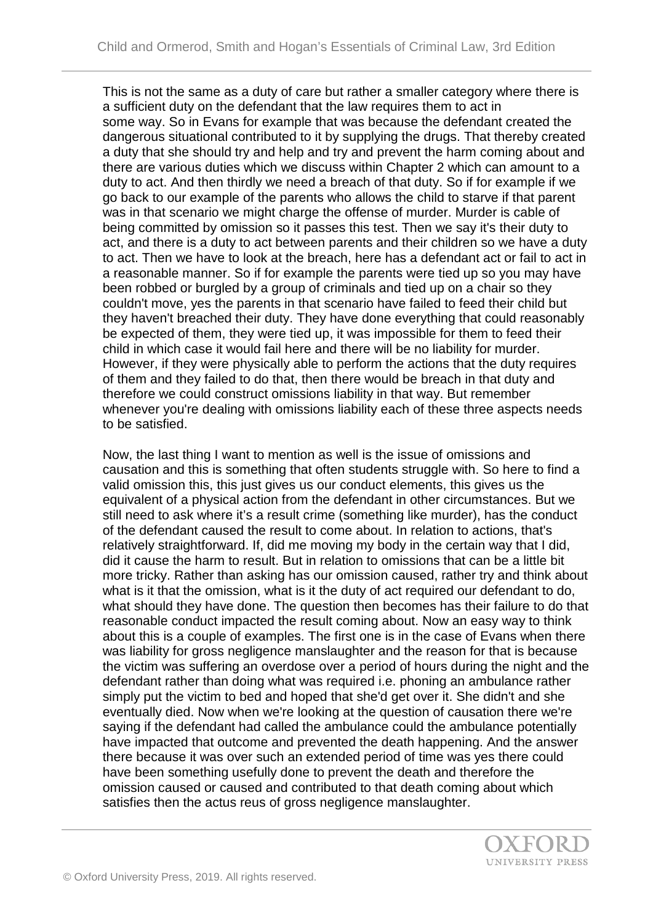This is not the same as a duty of care but rather a smaller category where there is a sufficient duty on the defendant that the law requires them to act in some way. So in Evans for example that was because the defendant created the dangerous situational contributed to it by supplying the drugs. That thereby created a duty that she should try and help and try and prevent the harm coming about and there are various duties which we discuss within Chapter 2 which can amount to a duty to act. And then thirdly we need a breach of that duty. So if for example if we go back to our example of the parents who allows the child to starve if that parent was in that scenario we might charge the offense of murder. Murder is cable of being committed by omission so it passes this test. Then we say it's their duty to act, and there is a duty to act between parents and their children so we have a duty to act. Then we have to look at the breach, here has a defendant act or fail to act in a reasonable manner. So if for example the parents were tied up so you may have been robbed or burgled by a group of criminals and tied up on a chair so they couldn't move, yes the parents in that scenario have failed to feed their child but they haven't breached their duty. They have done everything that could reasonably be expected of them, they were tied up, it was impossible for them to feed their child in which case it would fail here and there will be no liability for murder. However, if they were physically able to perform the actions that the duty requires of them and they failed to do that, then there would be breach in that duty and therefore we could construct omissions liability in that way. But remember whenever you're dealing with omissions liability each of these three aspects needs to be satisfied.

Now, the last thing I want to mention as well is the issue of omissions and causation and this is something that often students struggle with. So here to find a valid omission this, this just gives us our conduct elements, this gives us the equivalent of a physical action from the defendant in other circumstances. But we still need to ask where it's a result crime (something like murder), has the conduct of the defendant caused the result to come about. In relation to actions, that's relatively straightforward. If, did me moving my body in the certain way that I did, did it cause the harm to result. But in relation to omissions that can be a little bit more tricky. Rather than asking has our omission caused, rather try and think about what is it that the omission, what is it the duty of act required our defendant to do, what should they have done. The question then becomes has their failure to do that reasonable conduct impacted the result coming about. Now an easy way to think about this is a couple of examples. The first one is in the case of Evans when there was liability for gross negligence manslaughter and the reason for that is because the victim was suffering an overdose over a period of hours during the night and the defendant rather than doing what was required i.e. phoning an ambulance rather simply put the victim to bed and hoped that she'd get over it. She didn't and she eventually died. Now when we're looking at the question of causation there we're saying if the defendant had called the ambulance could the ambulance potentially have impacted that outcome and prevented the death happening. And the answer there because it was over such an extended period of time was yes there could have been something usefully done to prevent the death and therefore the omission caused or caused and contributed to that death coming about which satisfies then the actus reus of gross negligence manslaughter.